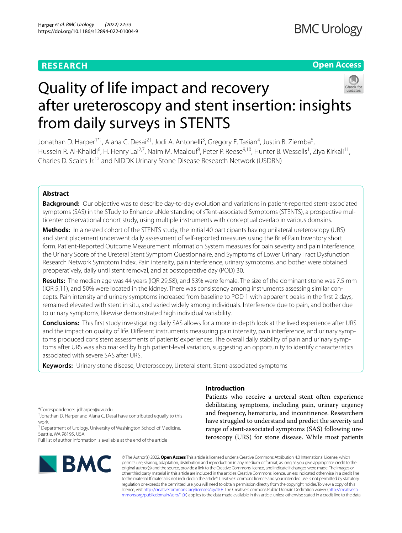# **RESEARCH**

# **Open Access**



# Quality of life impact and recovery after ureteroscopy and stent insertion: insights from daily surveys in STENTS

Jonathan D. Harper<sup>1\*†</sup>, Alana C. Desai<sup>2†</sup>, Jodi A. Antonelli<sup>3</sup>, Gregory E. Tasian<sup>4</sup>, Justin B. Ziemba<sup>5</sup>, Hussein R. Al-Khalidi<sup>6</sup>, H. Henry Lai<sup>2,7</sup>, Naim M. Maalouf<sup>8</sup>, Peter P. Reese<sup>9,10</sup>, Hunter B. Wessells<sup>1</sup>, Ziya Kirkali<sup>11</sup>, Charles D. Scales Jr.<sup>12</sup> and NIDDK Urinary Stone Disease Research Network (USDRN)

# **Abstract**

**Background:** Our objective was to describe day-to-day evolution and variations in patient-reported stent-associated symptoms (SAS) in the STudy to Enhance uNderstanding of sTent-associated Symptoms (STENTS), a prospective multicenter observational cohort study, using multiple instruments with conceptual overlap in various domains.

**Methods:** In a nested cohort of the STENTS study, the initial 40 participants having unilateral ureteroscopy (URS) and stent placement underwent daily assessment of self-reported measures using the Brief Pain Inventory short form, Patient-Reported Outcome Measurement Information System measures for pain severity and pain interference, the Urinary Score of the Ureteral Stent Symptom Questionnaire, and Symptoms of Lower Urinary Tract Dysfunction Research Network Symptom Index. Pain intensity, pain interference, urinary symptoms, and bother were obtained preoperatively, daily until stent removal, and at postoperative day (POD) 30.

**Results:** The median age was 44 years (IQR 29,58), and 53% were female. The size of the dominant stone was 7.5 mm (IQR 5,11), and 50% were located in the kidney. There was consistency among instruments assessing similar con‑ cepts. Pain intensity and urinary symptoms increased from baseline to POD 1 with apparent peaks in the frst 2 days, remained elevated with stent in situ, and varied widely among individuals. Interference due to pain, and bother due to urinary symptoms, likewise demonstrated high individual variability.

**Conclusions:** This frst study investigating daily SAS allows for a more in-depth look at the lived experience after URS and the impact on quality of life. Different instruments measuring pain intensity, pain interference, and urinary symptoms produced consistent assessments of patients' experiences. The overall daily stability of pain and urinary symptoms after URS was also marked by high patient-level variation, suggesting an opportunity to identify characteristics associated with severe SAS after URS.

**Keywords:** Urinary stone disease, Ureteroscopy, Ureteral stent, Stent-associated symptoms

\*Correspondence: jdharper@uw.edu

† Jonathan D. Harper and Alana C. Desai have contributed equally to this work.

<sup>1</sup> Department of Urology, University of Washington School of Medicine, Seattle, WA 98195, USA

Full list of author information is available at the end of the article



# **Introduction**

Patients who receive a ureteral stent often experience debilitating symptoms, including pain, urinary urgency and frequency, hematuria, and incontinence. Researchers have struggled to understand and predict the severity and range of stent-associated symptoms (SAS) following ureteroscopy (URS) for stone disease. While most patients

© The Author(s) 2022. **Open Access** This article is licensed under a Creative Commons Attribution 4.0 International License, which permits use, sharing, adaptation, distribution and reproduction in any medium or format, as long as you give appropriate credit to the original author(s) and the source, provide a link to the Creative Commons licence, and indicate if changes were made. The images or other third party material in this article are included in the article's Creative Commons licence, unless indicated otherwise in a credit line to the material. If material is not included in the article's Creative Commons licence and your intended use is not permitted by statutory regulation or exceeds the permitted use, you will need to obtain permission directly from the copyright holder. To view a copy of this licence, visit [http://creativecommons.org/licenses/by/4.0/.](http://creativecommons.org/licenses/by/4.0/) The Creative Commons Public Domain Dedication waiver ([http://creativeco](http://creativecommons.org/publicdomain/zero/1.0/) [mmons.org/publicdomain/zero/1.0/](http://creativecommons.org/publicdomain/zero/1.0/)) applies to the data made available in this article, unless otherwise stated in a credit line to the data.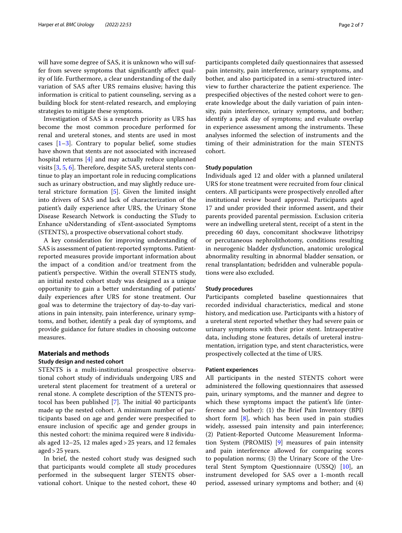will have some degree of SAS, it is unknown who will suffer from severe symptoms that signifcantly afect quality of life. Furthermore, a clear understanding of the daily variation of SAS after URS remains elusive; having this information is critical to patient counseling, serving as a building block for stent-related research, and employing strategies to mitigate these symptoms.

Investigation of SAS is a research priority as URS has become the most common procedure performed for renal and ureteral stones, and stents are used in most cases  $[1-3]$  $[1-3]$ . Contrary to popular belief, some studies have shown that stents are not associated with increased hospital returns [\[4](#page-6-2)] and may actually reduce unplanned visits  $[3, 5, 6]$  $[3, 5, 6]$  $[3, 5, 6]$  $[3, 5, 6]$ . Therefore, despite SAS, ureteral stents continue to play an important role in reducing complications such as urinary obstruction, and may slightly reduce ureteral stricture formation [[5\]](#page-6-3). Given the limited insight into drivers of SAS and lack of characterization of the patient's daily experience after URS, the Urinary Stone Disease Research Network is conducting the STudy to Enhance uNderstanding of sTent-associated Symptoms (STENTS), a prospective observational cohort study.

A key consideration for improving understanding of SAS is assessment of patient-reported symptoms. Patientreported measures provide important information about the impact of a condition and/or treatment from the patient's perspective. Within the overall STENTS study, an initial nested cohort study was designed as a unique opportunity to gain a better understanding of patients' daily experiences after URS for stone treatment. Our goal was to determine the trajectory of day-to-day variations in pain intensity, pain interference, urinary symptoms, and bother, identify a peak day of symptoms, and provide guidance for future studies in choosing outcome measures.

# **Materials and methods**

# **Study design and nested cohort**

STENTS is a multi-institutional prospective observational cohort study of individuals undergoing URS and ureteral stent placement for treatment of a ureteral or renal stone. A complete description of the STENTS protocol has been published  $[7]$  $[7]$ . The initial 40 participants made up the nested cohort. A minimum number of participants based on age and gender were prespecifed to ensure inclusion of specifc age and gender groups in this nested cohort: the minima required were 8 individuals aged 12–25, 12 males aged>25 years, and 12 females aged>25 years.

In brief, the nested cohort study was designed such that participants would complete all study procedures performed in the subsequent larger STENTS observational cohort. Unique to the nested cohort, these 40 participants completed daily questionnaires that assessed pain intensity, pain interference, urinary symptoms, and bother, and also participated in a semi-structured interview to further characterize the patient experience. The prespecifed objectives of the nested cohort were to generate knowledge about the daily variation of pain intensity, pain interference, urinary symptoms, and bother; identify a peak day of symptoms; and evaluate overlap in experience assessment among the instruments. These analyses informed the selection of instruments and the timing of their administration for the main STENTS cohort.

#### **Study population**

Individuals aged 12 and older with a planned unilateral URS for stone treatment were recruited from four clinical centers. All participants were prospectively enrolled after institutional review board approval. Participants aged 17 and under provided their informed assent, and their parents provided parental permission. Exclusion criteria were an indwelling ureteral stent, receipt of a stent in the preceding 60 days, concomitant shockwave lithotripsy or percutaneous nephrolithotomy, conditions resulting in neurogenic bladder dysfunction, anatomic urological abnormality resulting in abnormal bladder sensation, or renal transplantation; bedridden and vulnerable populations were also excluded.

#### **Study procedures**

Participants completed baseline questionnaires that recorded individual characteristics, medical and stone history, and medication use. Participants with a history of a ureteral stent reported whether they had severe pain or urinary symptoms with their prior stent. Intraoperative data, including stone features, details of ureteral instrumentation, irrigation type, and stent characteristics, were prospectively collected at the time of URS.

### **Patient experiences**

All participants in the nested STENTS cohort were administered the following questionnaires that assessed pain, urinary symptoms, and the manner and degree to which these symptoms impact the patient's life (interference and bother): (1) the Brief Pain Inventory (BPI) short form  $[8]$  $[8]$ , which has been used in pain studies widely, assessed pain intensity and pain interference; (2) Patient-Reported Outcome Measurement Information System (PROMIS) [\[9](#page-6-7)] measures of pain intensity and pain interference allowed for comparing scores to population norms; (3) the Urinary Score of the Ureteral Stent Symptom Questionnaire (USSQ) [\[10](#page-6-8)], an instrument developed for SAS over a 1-month recall period, assessed urinary symptoms and bother; and (4)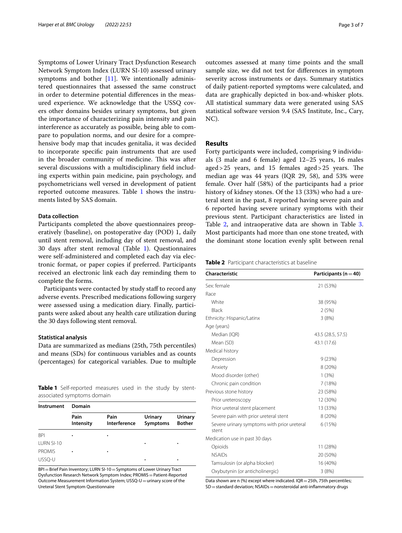Symptoms of Lower Urinary Tract Dysfunction Research Network Symptom Index (LURN SI-10) assessed urinary symptoms and bother  $[11]$ . We intentionally administered questionnaires that assessed the same construct in order to determine potential diferences in the measured experience. We acknowledge that the USSQ covers other domains besides urinary symptoms, but given the importance of characterizing pain intensity and pain interference as accurately as possible, being able to compare to population norms, and our desire for a comprehensive body map that incudes genitalia, it was decided to incorporate specifc pain instruments that are used in the broader community of medicine. This was after several discussions with a multidisciplinary feld including experts within pain medicine, pain psychology, and psychometricians well versed in development of patient reported outcome measures. Table [1](#page-2-0) shows the instruments listed by SAS domain.

## **Data collection**

Participants completed the above questionnaires preoperatively (baseline), on postoperative day (POD) 1, daily until stent removal, including day of stent removal, and 30 days after stent removal (Table [1\)](#page-2-0). Questionnaires were self-administered and completed each day via electronic format, or paper copies if preferred. Participants received an electronic link each day reminding them to complete the forms.

Participants were contacted by study staff to record any adverse events. Prescribed medications following surgery were assessed using a medication diary. Finally, participants were asked about any health care utilization during the 30 days following stent removal.

## **Statistical analysis**

Data are summarized as medians (25th, 75th percentiles) and means (SDs) for continuous variables and as counts (percentages) for categorical variables. Due to multiple

<span id="page-2-0"></span>**Table 1** Self-reported measures used in the study by stentassociated symptoms domain

| Instrument    | Domain            |                      |                                   |                          |
|---------------|-------------------|----------------------|-----------------------------------|--------------------------|
|               | Pain<br>Intensity | Pain<br>Interference | <b>Urinary</b><br><b>Symptoms</b> | Urinary<br><b>Bother</b> |
| <b>BPI</b>    |                   |                      |                                   |                          |
| LURN SI-10    |                   |                      | ٠                                 | ٠                        |
| <b>PROMIS</b> | ٠                 | ٠                    |                                   |                          |
| USSO-U        |                   |                      | ٠                                 | ٠                        |

BPI=Brief Pain Inventory; LURN SI-10 = Symptoms of Lower Urinary Tract Dysfunction Research Network Symptom Index; PROMIS=Patient-Reported Outcome Measurement Information System; USSQ-U = urinary score of the Ureteral Stent Symptom Questionnaire

outcomes assessed at many time points and the small sample size, we did not test for diferences in symptom severity across instruments or days. Summary statistics of daily patient-reported symptoms were calculated, and data are graphically depicted in box-and-whisker plots. All statistical summary data were generated using SAS statistical software version 9.4 (SAS Institute, Inc., Cary, NC).

## **Results**

Forty participants were included, comprising 9 individuals (3 male and 6 female) aged 12–25 years, 16 males aged >  $25$  years, and 15 females aged >  $25$  years. The median age was 44 years (IQR 29, 58), and 53% were female. Over half (58%) of the participants had a prior history of kidney stones. Of the 13 (33%) who had a ureteral stent in the past, 8 reported having severe pain and 6 reported having severe urinary symptoms with their previous stent. Participant characteristics are listed in Table [2](#page-2-1), and intraoperative data are shown in Table [3](#page-3-0). Most participants had more than one stone treated, with the dominant stone location evenly split between renal

<span id="page-2-1"></span>**Table 2** Participant characteristics at baseline

| Characteristic                                       | Participants ( $n = 40$ ) |  |
|------------------------------------------------------|---------------------------|--|
| Sex: female                                          | 21 (53%)                  |  |
| Race                                                 |                           |  |
| White                                                | 38 (95%)                  |  |
| <b>Black</b>                                         | 2(5%)                     |  |
| Ethnicity: Hispanic/Latinx                           | 3(8%)                     |  |
| Age (years)                                          |                           |  |
| Median (IQR)                                         | 43.5 (28.5, 57.5)         |  |
| Mean (SD)                                            | 43.1 (17.6)               |  |
| Medical history                                      |                           |  |
| Depression                                           | 9(23%)                    |  |
| Anxiety                                              | 8 (20%)                   |  |
| Mood disorder (other)                                | 1(3%)                     |  |
| Chronic pain condition                               | 7(18%)                    |  |
| Previous stone history                               | 23 (58%)                  |  |
| Prior ureteroscopy                                   | 12 (30%)                  |  |
| Prior ureteral stent placement                       | 13 (33%)                  |  |
| Severe pain with prior ureteral stent                | 8 (20%)                   |  |
| Severe urinary symptoms with prior ureteral<br>stent | 6(15%)                    |  |
| Medication use in past 30 days                       |                           |  |
| Opioids                                              | 11 (28%)                  |  |
| <b>NSAIDs</b>                                        | 20 (50%)                  |  |
| Tamsulosin (or alpha blocker)                        | 16 (40%)                  |  |
| Oxybutynin (or anticholinergic)                      | 3(8%)                     |  |

Data shown are n (%) except where indicated. IQR = 25th, 75th percentiles;  $SD =$ standard deviation; NSAIDs = nonsteroidal anti-inflammatory drugs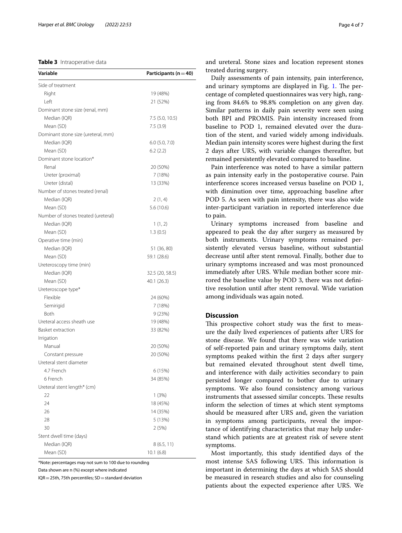## <span id="page-3-0"></span>**Table 3** Intraoperative data

| Variable                            | Participants ( $n = 40$ ) |
|-------------------------------------|---------------------------|
| Side of treatment                   |                           |
| Right                               | 19 (48%)                  |
| Left                                | 21 (52%)                  |
| Dominant stone size (renal, mm)     |                           |
| Median (IQR)                        | 7.5 (5.0, 10.5)           |
| Mean (SD)                           | 7.5(3.9)                  |
| Dominant stone size (ureteral, mm)  |                           |
| Median (IQR)                        | $6.0$ $(5.0, 7.0)$        |
| Mean (SD)                           | 6.2(2.2)                  |
| Dominant stone location*            |                           |
| Renal                               | 20 (50%)                  |
| Ureter (proximal)                   | 7 (18%)                   |
| Ureter (distal)                     | 13 (33%)                  |
| Number of stones treated (renal)    |                           |
| Median (IQR)                        | 2(1, 4)                   |
| Mean (SD)                           | 5.6 (10.6)                |
| Number of stones treated (ureteral) |                           |
| Median (IQR)                        | 1(1, 2)                   |
| Mean (SD)                           | 1.3(0.5)                  |
| Operative time (min)                |                           |
| Median (IQR)                        | 51 (36, 80)               |
| Mean (SD)                           | 59.1 (28.6)               |
| Ureteroscopy time (min)             |                           |
| Median (IQR)                        | 32.5 (20, 58.5)           |
| Mean (SD)                           | 40.1 (26.3)               |
| Ureteroscope type*                  |                           |
| Flexible                            | 24 (60%)                  |
| Semirigid                           | 7 (18%)                   |
| Both                                | 9 (23%)                   |
| Ureteral access sheath use          | 19 (48%)                  |
| Basket extraction                   | 33 (82%)                  |
| Irrigation                          |                           |
| Manual                              | 20 (50%)                  |
| Constant pressure                   | 20 (50%)                  |
| Ureteral stent diameter             |                           |
| 4.7 French                          | 6 (15%)                   |
| 6 French                            | 34 (85%)                  |
| Ureteral stent length* (cm)         |                           |
| 22                                  | 1(3%)                     |
| 24                                  | 18 (45%)                  |
| 26                                  | 14 (35%)                  |
| 28                                  | 5 (13%)                   |
| 30                                  | 2 (5%)                    |
| Stent dwell time (days)             |                           |
| Median (IQR)                        | 8 (6.5, 11)               |
| Mean (SD)                           | 10.1(6.8)                 |

\*Note: percentages may not sum to 100 due to rounding

Data shown are n (%) except where indicated

IQR = 25th, 75th percentiles; SD = standard deviation

and ureteral. Stone sizes and location represent stones treated during surgery.

Daily assessments of pain intensity, pain interference, and urinary symptoms are displayed in Fig. [1.](#page-4-0) The percentage of completed questionnaires was very high, ranging from 84.6% to 98.8% completion on any given day. Similar patterns in daily pain severity were seen using both BPI and PROMIS. Pain intensity increased from baseline to POD 1, remained elevated over the duration of the stent, and varied widely among individuals. Median pain intensity scores were highest during the frst 2 days after URS, with variable changes thereafter, but remained persistently elevated compared to baseline.

Pain interference was noted to have a similar pattern as pain intensity early in the postoperative course. Pain interference scores increased versus baseline on POD 1, with diminution over time, approaching baseline after POD 5. As seen with pain intensity, there was also wide inter-participant variation in reported interference due to pain.

Urinary symptoms increased from baseline and appeared to peak the day after surgery as measured by both instruments. Urinary symptoms remained persistently elevated versus baseline, without substantial decrease until after stent removal. Finally, bother due to urinary symptoms increased and was most pronounced immediately after URS. While median bother score mirrored the baseline value by POD 3, there was not defnitive resolution until after stent removal. Wide variation among individuals was again noted.

## **Discussion**

This prospective cohort study was the first to measure the daily lived experiences of patients after URS for stone disease. We found that there was wide variation of self-reported pain and urinary symptoms daily, stent symptoms peaked within the frst 2 days after surgery but remained elevated throughout stent dwell time, and interference with daily activities secondary to pain persisted longer compared to bother due to urinary symptoms. We also found consistency among various instruments that assessed similar concepts. These results inform the selection of times at which stent symptoms should be measured after URS and, given the variation in symptoms among participants, reveal the importance of identifying characteristics that may help understand which patients are at greatest risk of severe stent symptoms.

Most importantly, this study identifed days of the most intense SAS following URS. This information is important in determining the days at which SAS should be measured in research studies and also for counseling patients about the expected experience after URS. We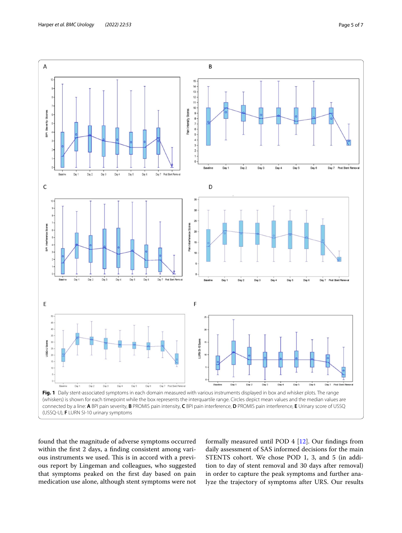

<span id="page-4-0"></span>found that the magnitude of adverse symptoms occurred within the frst 2 days, a fnding consistent among various instruments we used. This is in accord with a previous report by Lingeman and colleagues, who suggested that symptoms peaked on the frst day based on pain medication use alone, although stent symptoms were not

formally measured until POD 4 [\[12](#page-6-10)]. Our fndings from daily assessment of SAS informed decisions for the main STENTS cohort. We chose POD 1, 3, and 5 (in addition to day of stent removal and 30 days after removal) in order to capture the peak symptoms and further analyze the trajectory of symptoms after URS. Our results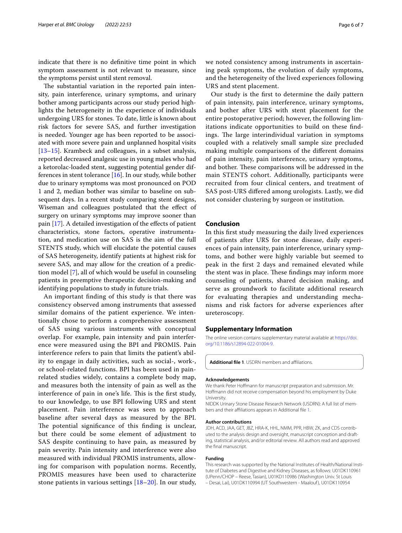indicate that there is no defnitive time point in which symptom assessment is not relevant to measure, since the symptoms persist until stent removal.

The substantial variation in the reported pain intensity, pain interference, urinary symptoms, and urinary bother among participants across our study period highlights the heterogeneity in the experience of individuals undergoing URS for stones. To date, little is known about risk factors for severe SAS, and further investigation is needed. Younger age has been reported to be associated with more severe pain and unplanned hospital visits [[13–](#page-6-11)[15](#page-6-12)]. Krambeck and colleagues, in a subset analysis, reported decreased analgesic use in young males who had a ketorolac-loaded stent, suggesting potential gender differences in stent tolerance  $[16]$  $[16]$ . In our study, while bother due to urinary symptoms was most pronounced on POD 1 and 2, median bother was similar to baseline on subsequent days. In a recent study comparing stent designs, Wiseman and colleagues postulated that the efect of surgery on urinary symptoms may improve sooner than pain  $[17]$ . A detailed investigation of the effects of patient characteristics, stone factors, operative instrumentation, and medication use on SAS is the aim of the full STENTS study, which will elucidate the potential causes of SAS heterogeneity, identify patients at highest risk for severe SAS, and may allow for the creation of a prediction model [[7\]](#page-6-5), all of which would be useful in counseling patients in preemptive therapeutic decision-making and identifying populations to study in future trials.

An important fnding of this study is that there was consistency observed among instruments that assessed similar domains of the patient experience. We intentionally chose to perform a comprehensive assessment of SAS using various instruments with conceptual overlap. For example, pain intensity and pain interference were measured using the BPI and PROMIS. Pain interference refers to pain that limits the patient's ability to engage in daily activities, such as social-, work-, or school-related functions. BPI has been used in painrelated studies widely, contains a complete body map, and measures both the intensity of pain as well as the interference of pain in one's life. This is the first study, to our knowledge, to use BPI following URS and stent placement. Pain interference was seen to approach baseline after several days as measured by the BPI. The potential significance of this finding is unclear, but there could be some element of adjustment to SAS despite continuing to have pain, as measured by pain severity. Pain intensity and interference were also measured with individual PROMIS instruments, allowing for comparison with population norms. Recently, PROMIS measures have been used to characterize stone patients in various settings [[18](#page-6-15)[–20](#page-6-16)]. In our study, we noted consistency among instruments in ascertaining peak symptoms, the evolution of daily symptoms, and the heterogeneity of the lived experiences following URS and stent placement.

Our study is the frst to determine the daily pattern of pain intensity, pain interference, urinary symptoms, and bother after URS with stent placement for the entire postoperative period; however, the following limitations indicate opportunities to build on these fndings. The large interindividual variation in symptoms coupled with a relatively small sample size precluded making multiple comparisons of the diferent domains of pain intensity, pain interference, urinary symptoms, and bother. These comparisons will be addressed in the main STENTS cohort. Additionally, participants were recruited from four clinical centers, and treatment of SAS post-URS difered among urologists. Lastly, we did not consider clustering by surgeon or institution.

#### **Conclusion**

In this frst study measuring the daily lived experiences of patients after URS for stone disease, daily experiences of pain intensity, pain interference, urinary symptoms, and bother were highly variable but seemed to peak in the frst 2 days and remained elevated while the stent was in place. These findings may inform more counseling of patients, shared decision making, and serve as groundwork to facilitate additional research for evaluating therapies and understanding mechanisms and risk factors for adverse experiences after ureteroscopy.

#### **Supplementary Information**

The online version contains supplementary material available at [https://doi.](https://doi.org/10.1186/s12894-022-01004-9) [org/10.1186/s12894-022-01004-9](https://doi.org/10.1186/s12894-022-01004-9).

<span id="page-5-0"></span>Additional file 1. USDRN members and affiliations.

#### **Acknowledgements**

We thank Peter Hofmann for manuscript preparation and submission. Mr. Hofmann did not receive compensation beyond his employment by Duke University.

NIDDK Urinary Stone Disease Research Network (USDRN): A full list of mem‑ bers and their affiliations appears in Additional file [1](#page-5-0).

#### **Author contributions**

JDH, ACD, JAA, GET, JBZ, HRA-K, HHL, NMM, PPR, HBW, ZK, and CDS contributed to the analysis design and oversight, manuscript conception and drafting, statistical analysis, and/or editorial review. All authors read and approved the fnal manuscript.

#### **Funding**

This research was supported by the National Institutes of Health/National Institute of Diabetes and Digestive and Kidney Diseases, as follows: U01DK110961 (UPenn/CHOP – Reese, Tasian), U01KD110986 (Washington Univ. St Louis – Desai, Lai), U01DK110994 (UT Southwestern - Maalouf ), U01DK110954